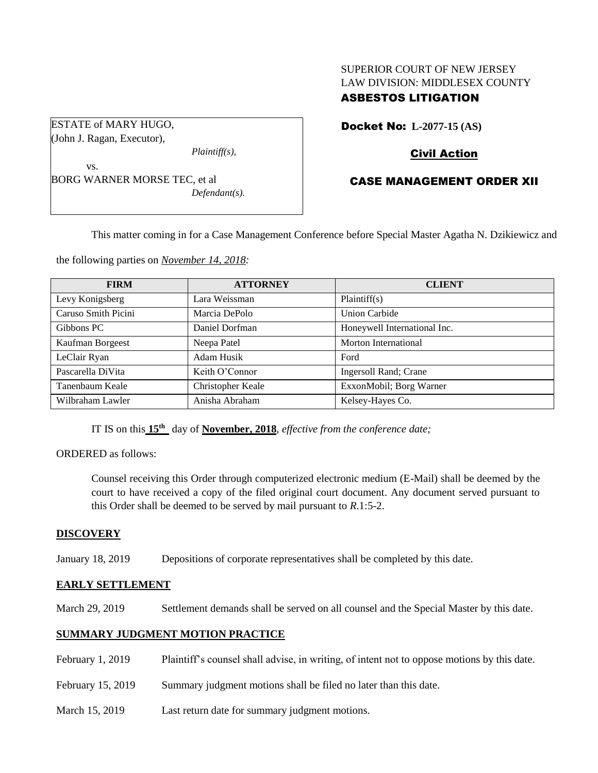# SUPERIOR COURT OF NEW JERSEY LAW DIVISION: MIDDLESEX COUNTY

# ASBESTOS LITIGATION

ESTATE of MARY HUGO, (John J. Ragan, Executor),

*Plaintiff(s),*

vs. BORG WARNER MORSE TEC, et al *Defendant(s).* Docket No: **L-2077-15 (AS)** 

# Civil Action

# CASE MANAGEMENT ORDER XII

This matter coming in for a Case Management Conference before Special Master Agatha N. Dzikiewicz and

the following parties on *November 14, 2018:*

| <b>FIRM</b>         | <b>ATTORNEY</b>   | <b>CLIENT</b>                |
|---------------------|-------------------|------------------------------|
| Levy Konigsberg     | Lara Weissman     | Plaintiff(s)                 |
| Caruso Smith Picini | Marcia DePolo     | <b>Union Carbide</b>         |
| Gibbons PC          | Daniel Dorfman    | Honeywell International Inc. |
| Kaufman Borgeest    | Neepa Patel       | Morton International         |
| LeClair Ryan        | Adam Husik        | Ford                         |
| Pascarella DiVita   | Keith O'Connor    | Ingersoll Rand; Crane        |
| Tanenbaum Keale     | Christopher Keale | ExxonMobil; Borg Warner      |
| Wilbraham Lawler    | Anisha Abraham    | Kelsey-Hayes Co.             |

IT IS on this  $15<sup>th</sup>$  day of **November, 2018**, *effective from the conference date*;

ORDERED as follows:

Counsel receiving this Order through computerized electronic medium (E-Mail) shall be deemed by the court to have received a copy of the filed original court document. Any document served pursuant to this Order shall be deemed to be served by mail pursuant to *R*.1:5-2.

# **DISCOVERY**

January 18, 2019 Depositions of corporate representatives shall be completed by this date.

## **EARLY SETTLEMENT**

March 29, 2019 Settlement demands shall be served on all counsel and the Special Master by this date.

# **SUMMARY JUDGMENT MOTION PRACTICE**

February 1, 2019 Plaintiff's counsel shall advise, in writing, of intent not to oppose motions by this date. February 15, 2019 Summary judgment motions shall be filed no later than this date. March 15, 2019 Last return date for summary judgment motions.